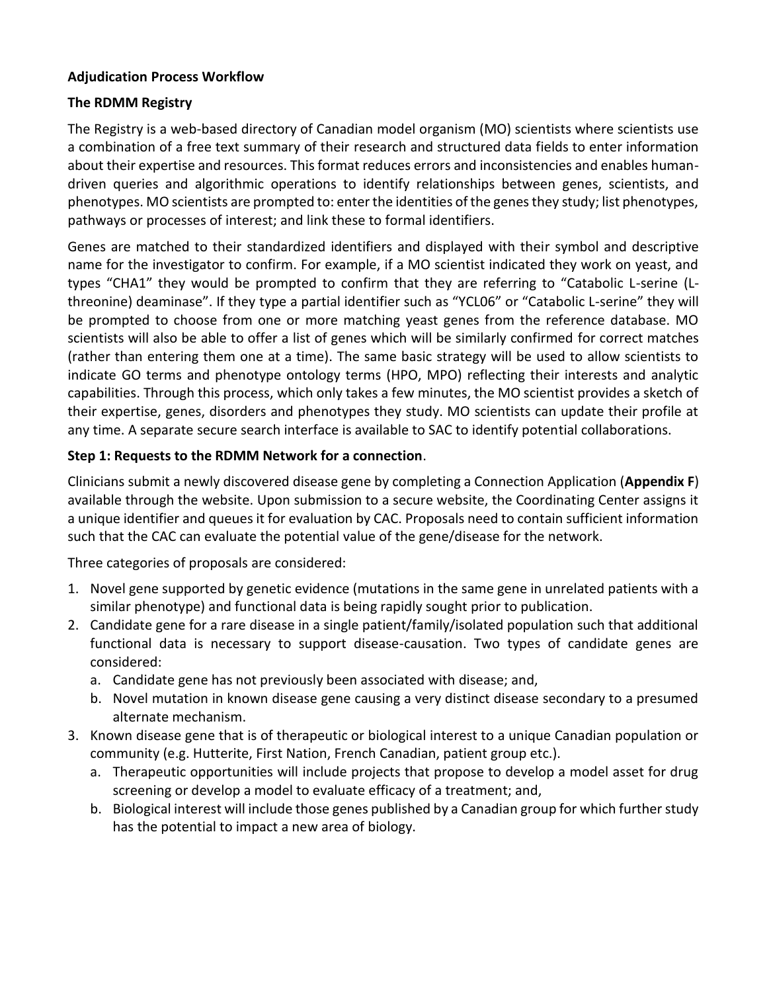## **[Adjudication](Adjudication%20Process%20Workflow.docx) Process Workflow**

## **The RDMM Registry**

The Registry is a web-based directory of Canadian model organism (MO) scientists where scientists use a combination of a free text summary of their research and structured data fields to enter information about their expertise and resources. This format reduces errors and inconsistencies and enables humandriven queries and algorithmic operations to identify relationships between genes, scientists, and phenotypes. MO scientists are prompted to: enter the identities of the genes they study; list phenotypes, pathways or processes of interest; and link these to formal identifiers.

Genes are matched to their standardized identifiers and displayed with their symbol and descriptive name for the investigator to confirm. For example, if a MO scientist indicated they work on yeast, and types "CHA1" they would be prompted to confirm that they are referring to "Catabolic L-serine (Lthreonine) deaminase". If they type a partial identifier such as "YCL06" or "Catabolic L-serine" they will be prompted to choose from one or more matching yeast genes from the reference database. MO scientists will also be able to offer a list of genes which will be similarly confirmed for correct matches (rather than entering them one at a time). The same basic strategy will be used to allow scientists to indicate GO terms and phenotype ontology terms (HPO, MPO) reflecting their interests and analytic capabilities. Through this process, which only takes a few minutes, the MO scientist provides a sketch of their expertise, genes, disorders and phenotypes they study. MO scientists can update their profile at any time. A separate secure search interface is available to SAC to identify potential collaborations.

## **Step 1: Requests to the RDMM Network for a connection**.

Clinicians submit a newly discovered disease gene by completing a Connection Application (**Appendix F**) available through the website. Upon submission to a secure website, the Coordinating Center assigns it a unique identifier and queues it for evaluation by CAC. Proposals need to contain sufficient information such that the CAC can evaluate the potential value of the gene/disease for the network.

Three categories of proposals are considered:

- 1. Novel gene supported by genetic evidence (mutations in the same gene in unrelated patients with a similar phenotype) and functional data is being rapidly sought prior to publication.
- 2. Candidate gene for a rare disease in a single patient/family/isolated population such that additional functional data is necessary to support disease-causation. Two types of candidate genes are considered:
	- a. Candidate gene has not previously been associated with disease; and,
	- b. Novel mutation in known disease gene causing a very distinct disease secondary to a presumed alternate mechanism.
- 3. Known disease gene that is of therapeutic or biological interest to a unique Canadian population or community (e.g. Hutterite, First Nation, French Canadian, patient group etc.).
	- a. Therapeutic opportunities will include projects that propose to develop a model asset for drug screening or develop a model to evaluate efficacy of a treatment; and,
	- b. Biological interest will include those genes published by a Canadian group for which further study has the potential to impact a new area of biology.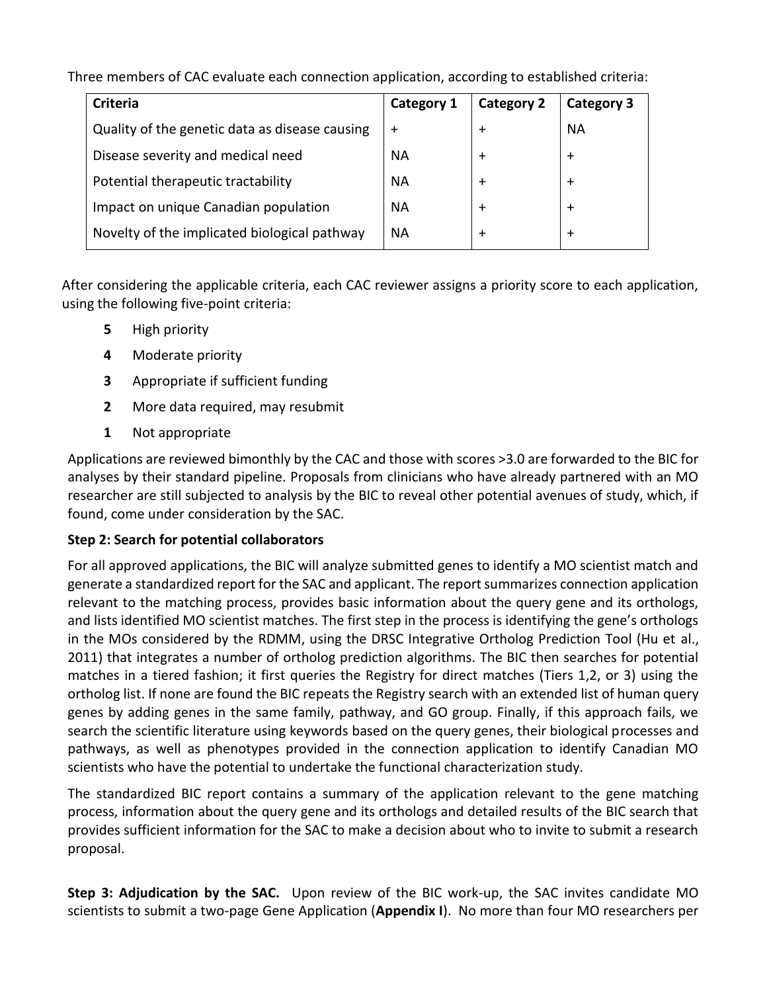Three members of CAC evaluate each connection application, according to established criteria:

| <b>Criteria</b>                                | Category 1 | <b>Category 2</b> | Category 3 |
|------------------------------------------------|------------|-------------------|------------|
| Quality of the genetic data as disease causing | $\div$     | $\div$            | ΝA         |
| Disease severity and medical need              | ΝA         | $\div$            | $\ddot{}$  |
| Potential therapeutic tractability             | ΝA         | $\div$            | $\pm$      |
| Impact on unique Canadian population           | <b>NA</b>  | $\div$            | $\div$     |
| Novelty of the implicated biological pathway   | NА         | $\div$            | $\pm$      |

After considering the applicable criteria, each CAC reviewer assigns a priority score to each application, using the following five-point criteria:

- **5** High priority
- **4** Moderate priority
- **3** Appropriate if sufficient funding
- **2** More data required, may resubmit
- **1** Not appropriate

Applications are reviewed bimonthly by the CAC and those with scores >3.0 are forwarded to the BIC for analyses by their standard pipeline. Proposals from clinicians who have already partnered with an MO researcher are still subjected to analysis by the BIC to reveal other potential avenues of study, which, if found, come under consideration by the SAC.

## **Step 2: Search for potential collaborators**

For all approved applications, the BIC will analyze submitted genes to identify a MO scientist match and generate a standardized report for the SAC and applicant. The report summarizes connection application relevant to the matching process, provides basic information about the query gene and its orthologs, and lists identified MO scientist matches. The first step in the process is identifying the gene's orthologs in the MOs considered by the RDMM, using the DRSC Integrative Ortholog Prediction Tool (Hu et al., 2011) that integrates a number of ortholog prediction algorithms. The BIC then searches for potential matches in a tiered fashion; it first queries the Registry for direct matches (Tiers 1,2, or 3) using the ortholog list. If none are found the BIC repeats the Registry search with an extended list of human query genes by adding genes in the same family, pathway, and GO group. Finally, if this approach fails, we search the scientific literature using keywords based on the query genes, their biological processes and pathways, as well as phenotypes provided in the connection application to identify Canadian MO scientists who have the potential to undertake the functional characterization study.

The standardized BIC report contains a summary of the application relevant to the gene matching process, information about the query gene and its orthologs and detailed results of the BIC search that provides sufficient information for the SAC to make a decision about who to invite to submit a research proposal.

**Step 3: Adjudication by the SAC.** Upon review of the BIC work-up, the SAC invites candidate MO scientists to submit a two-page Gene Application (**Appendix I**). No more than four MO researchers per